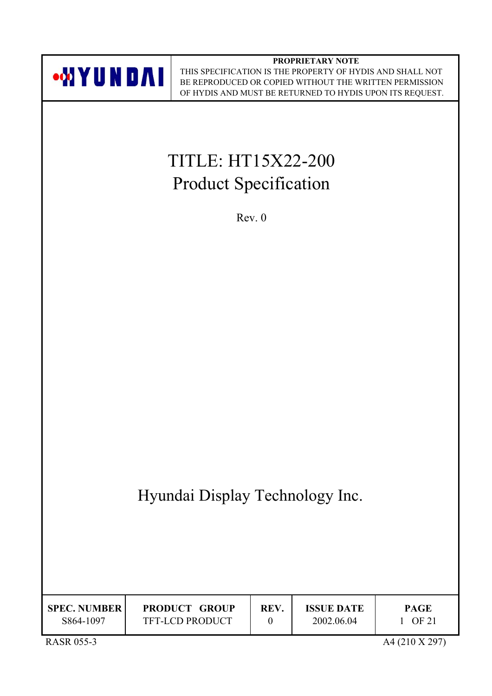

**PROPRIETARY NOTE** THIS SPECIFICATION IS THE PROPERTY OF HYDIS AND SHALL NOT BE REPRODUCED OR COPIED WITHOUT THE WRITTEN PERMISSION OF HYDIS AND MUST BE RETURNED TO HYDIS UPON ITS REQUEST.

# TITLE: HT15X22-200 Product Specification

Rev. 0

Hyundai Display Technology Inc.

| <b>SPEC. NUMBER</b><br>S864-1097 | <b>PRODUCT GROUP</b><br><b>TFT-LCD PRODUCT</b> | REV. | <b>ISSUE DATE</b><br>2002.06.04 | <b>PAGE</b><br>OF 21 |
|----------------------------------|------------------------------------------------|------|---------------------------------|----------------------|
| <b>RASR 055-3</b>                |                                                |      |                                 | A4 (210 X 297)       |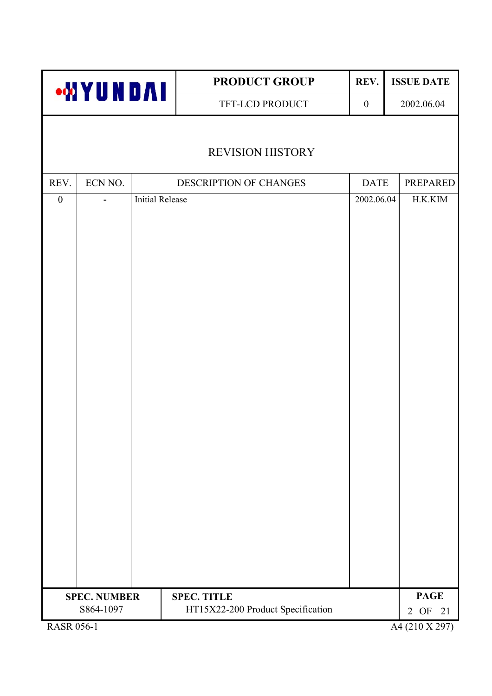|                                | <b>WYUNDAI</b> |                        | <b>PRODUCT GROUP</b>              | REV.             | <b>ISSUE DATE</b>            |
|--------------------------------|----------------|------------------------|-----------------------------------|------------------|------------------------------|
|                                |                |                        | TFT-LCD PRODUCT                   | $\boldsymbol{0}$ | 2002.06.04                   |
|                                |                |                        |                                   |                  |                              |
|                                |                |                        | <b>REVISION HISTORY</b>           |                  |                              |
| REV.                           | ECN NO.        |                        | DESCRIPTION OF CHANGES            | <b>DATE</b>      | <b>PREPARED</b>              |
| $\boldsymbol{0}$               |                | <b>Initial Release</b> |                                   | 2002.06.04       | H.K.KIM                      |
|                                |                |                        |                                   |                  |                              |
|                                |                |                        |                                   |                  |                              |
|                                |                |                        |                                   |                  |                              |
|                                |                |                        |                                   |                  |                              |
|                                |                |                        |                                   |                  |                              |
|                                |                |                        |                                   |                  |                              |
|                                |                |                        |                                   |                  |                              |
|                                |                |                        |                                   |                  |                              |
|                                |                |                        |                                   |                  |                              |
|                                |                |                        |                                   |                  |                              |
|                                |                |                        |                                   |                  |                              |
|                                |                |                        |                                   |                  |                              |
|                                |                |                        |                                   |                  |                              |
|                                |                |                        |                                   |                  |                              |
|                                |                |                        |                                   |                  |                              |
|                                |                |                        |                                   |                  |                              |
|                                |                |                        |                                   |                  |                              |
|                                |                |                        |                                   |                  |                              |
|                                |                |                        |                                   |                  |                              |
| <b>SPEC. NUMBER</b>            |                |                        | <b>SPEC. TITLE</b>                |                  | <b>PAGE</b>                  |
| S864-1097<br><b>RASR 056-1</b> |                |                        | HT15X22-200 Product Specification |                  | 21<br>2 OF<br>A4 (210 X 297) |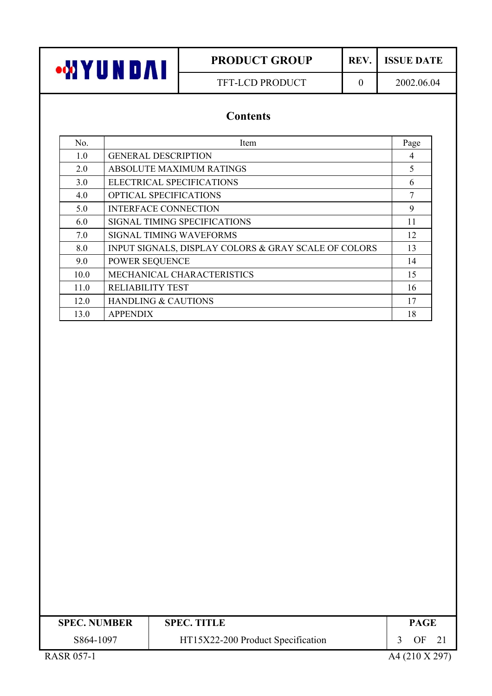TFT-LCD PRODUCT 0 2002.06.04

# **Contents**

| No.  | Item                                                 | Page |
|------|------------------------------------------------------|------|
| 1.0  | <b>GENERAL DESCRIPTION</b>                           | 4    |
| 2.0  | <b>ABSOLUTE MAXIMUM RATINGS</b>                      | 5    |
| 3.0  | ELECTRICAL SPECIFICATIONS                            | 6    |
| 4.0  | <b>OPTICAL SPECIFICATIONS</b>                        | 7    |
| 5.0  | <b>INTERFACE CONNECTION</b>                          | 9    |
| 6.0  | SIGNAL TIMING SPECIFICATIONS                         | 11   |
| 7.0  | <b>SIGNAL TIMING WAVEFORMS</b>                       | 12   |
| 8.0  | INPUT SIGNALS, DISPLAY COLORS & GRAY SCALE OF COLORS | 13   |
| 9.0  | <b>POWER SEQUENCE</b>                                | 14   |
| 10.0 | MECHANICAL CHARACTERISTICS                           | 15   |
| 11.0 | <b>RELIABILITY TEST</b>                              | 16   |
| 12.0 | <b>HANDLING &amp; CAUTIONS</b>                       | 17   |
| 13.0 | <b>APPENDIX</b>                                      | 18   |

| <b>SPEC. NUMBER</b> | <b>SPEC. TITLE</b>                | <b>PAGE</b>    |
|---------------------|-----------------------------------|----------------|
| S864-1097           | HT15X22-200 Product Specification | OF<br>- 21     |
| <b>RASR 057-1</b>   |                                   | A4 (210 X 297) |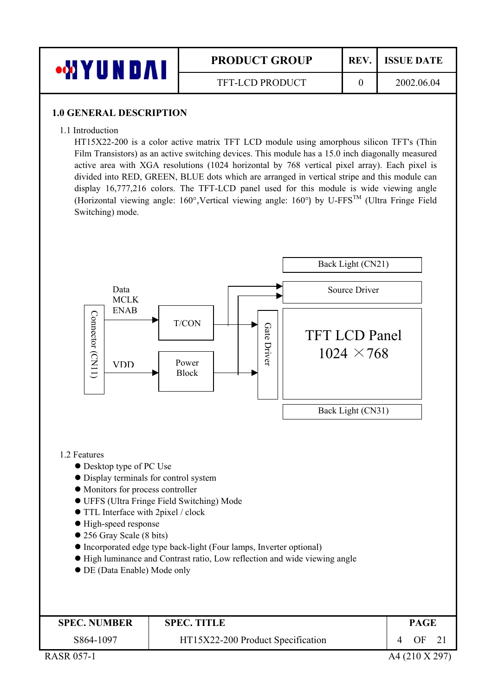

#### **1.0 GENERAL DESCRIPTION**

1.1 Introduction

HT15X22-200 is a color active matrix TFT LCD module using amorphous silicon TFT's (Thin Film Transistors) as an active switching devices. This module has a 15.0 inch diagonally measured active area with XGA resolutions (1024 horizontal by 768 vertical pixel array). Each pixel is divided into RED, GREEN, BLUE dots which are arranged in vertical stripe and this module can display 16,777,216 colors. The TFT-LCD panel used for this module is wide viewing angle (Horizontal viewing angle:  $160^\circ$ ,Vertical viewing angle:  $160^\circ$ ) by U-FFS<sup>TM</sup> (Ultra Fringe Field Switching) mode.

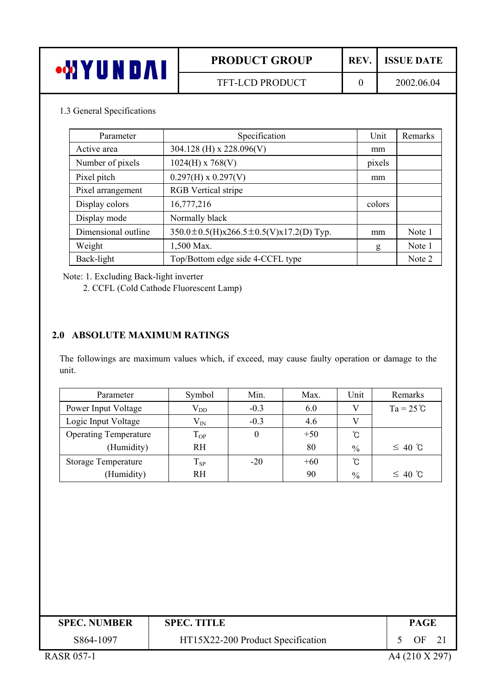# 1.3 General Specifications

| Parameter           | Specification                                       | Unit   | Remarks |
|---------------------|-----------------------------------------------------|--------|---------|
| Active area         | 304.128 (H) x 228.096(V)                            | mm     |         |
| Number of pixels    | $1024(H)$ x 768(V)                                  | pixels |         |
| Pixel pitch         | $0.297(H)$ x $0.297(V)$                             | mm     |         |
| Pixel arrangement   | <b>RGB</b> Vertical stripe                          |        |         |
| Display colors      | 16,777,216                                          | colors |         |
| Display mode        | Normally black                                      |        |         |
| Dimensional outline | $350.0 \pm 0.5$ (H)x266.5 $\pm$ 0.5(V)x17.2(D) Typ. | mm     | Note 1  |
| Weight              | 1,500 Max.                                          | g      | Note 1  |
| Back-light          | Top/Bottom edge side 4-CCFL type                    |        | Note 2  |

Note: 1. Excluding Back-light inverter

2. CCFL (Cold Cathode Fluorescent Lamp)

#### **2.0 ABSOLUTE MAXIMUM RATINGS**

The followings are maximum values which, if exceed, may cause faulty operation or damage to the unit.

| Parameter                    | Symbol       | Min.   | Max.  | Unit          | Remarks            |
|------------------------------|--------------|--------|-------|---------------|--------------------|
| Power Input Voltage          | $\rm V_{DD}$ | $-0.3$ | 6.0   |               | $Ta = 25^{\circ}C$ |
| Logic Input Voltage          | $V_{IN}$     | $-0.3$ | 4.6   | V             |                    |
| <b>Operating Temperature</b> | $T_{OP}$     | 0      | $+50$ | °C            |                    |
| (Humidity)                   | <b>RH</b>    |        | 80    | $\frac{0}{0}$ | $\leq 40$ °C       |
| <b>Storage Temperature</b>   | 1 sp         | $-20$  | $+60$ | °C            |                    |
| (Humidity)                   | <b>RH</b>    |        | 90    | $\frac{0}{0}$ | $\leq 40$ °C       |

| <b>SPEC. NUMBER</b> | <b>SPEC. TITLE</b>                | <b>PAGE</b> |  |
|---------------------|-----------------------------------|-------------|--|
| S864-1097           | HT15X22-200 Product Specification | OF.         |  |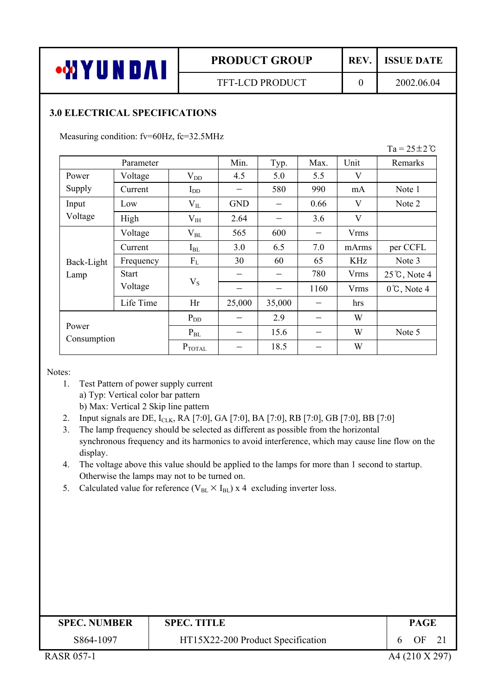$Ta = 25 \pm 2^{\circ}C$ 

### **3.0 ELECTRICAL SPECIFICATIONS**

Measuring condition: fv=60Hz, fc=32.5MHz

| Parameter            |              |                    | Min.       | Typ.   | Max. | Unit        | Remarks                |
|----------------------|--------------|--------------------|------------|--------|------|-------------|------------------------|
| Power                | Voltage      | $V_{DD}$           | 4.5        | 5.0    | 5.5  | V           |                        |
| Supply               | Current      | $I_{DD}$           |            | 580    | 990  | mA          | Note 1                 |
| Input                | Low          | $V_{IL}$           | <b>GND</b> |        | 0.66 | V           | Note 2                 |
| Voltage              | High         | $V_{IH}$           | 2.64       |        | 3.6  | V           |                        |
|                      | Voltage      | $\rm V_{BL}$       | 565        | 600    |      | <b>Vrms</b> |                        |
|                      | Current      | $I_{BL}$           | 3.0        | 6.5    | 7.0  | mArms       | per CCFL               |
| Back-Light           | Frequency    | $F_{L}$            | 30         | 60     | 65   | <b>KHz</b>  | Note 3                 |
| Lamp                 | <b>Start</b> | $V_S$              |            |        | 780  | <b>Vrms</b> | $25^{\circ}$ C, Note 4 |
|                      | Voltage      |                    |            |        | 1160 | Vrms        | $0^{\circ}$ C, Note 4  |
|                      | Life Time    | Hr                 | 25,000     | 35,000 |      | hrs         |                        |
|                      |              | $P_{DD}$           |            | 2.9    |      | W           |                        |
| Power<br>Consumption |              | $P_{BL}$           |            | 15.6   |      | W           | Note 5                 |
|                      |              | $P_{\text{TOTAL}}$ |            | 18.5   |      | W           |                        |

Notes:

- 1. Test Pattern of power supply current a) Typ: Vertical color bar pattern b) Max: Vertical 2 Skip line pattern
- 2. Input signals are DE, I<sub>CLK</sub>, RA [7:0], GA [7:0], BA [7:0], RB [7:0], GB [7:0], BB [7:0]
- 3. The lamp frequency should be selected as different as possible from the horizontal synchronous frequency and its harmonics to avoid interference, which may cause line flow on the display.
- 4. The voltage above this value should be applied to the lamps for more than 1 second to startup. Otherwise the lamps may not to be turned on.
- 5. Calculated value for reference ( $V_{BL} \times I_{BL}$ ) x 4 excluding inverter loss.

| <b>SPEC. NUMBER</b> | <b>SPEC. TITLE</b>                | PAGE           |
|---------------------|-----------------------------------|----------------|
| S864-1097           | HT15X22-200 Product Specification | OF<br>21<br>h  |
| <b>RASR 057-1</b>   |                                   | A4 (210 X 297) |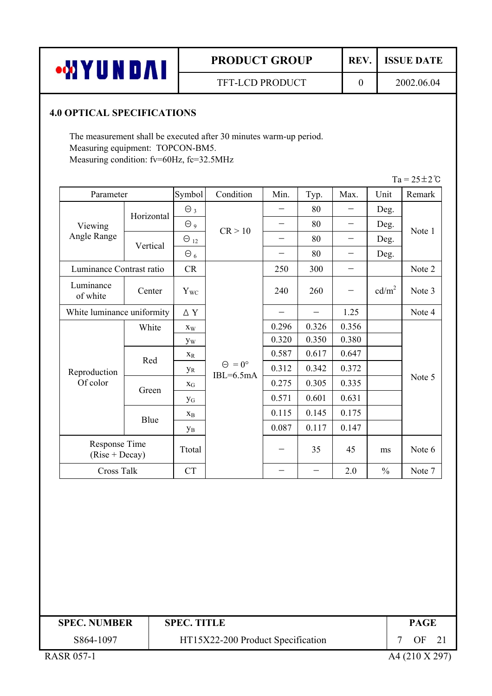# **4.0 OPTICAL SPECIFICATIONS**

The measurement shall be executed after 30 minutes warm-up period. Measuring equipment: TOPCON-BM5. Measuring condition: fv=60Hz, fc=32.5MHz

|                                   |            |                       |                                     |                          |       |       |                   | $Ta = 25 \pm 2$ °C |  |  |
|-----------------------------------|------------|-----------------------|-------------------------------------|--------------------------|-------|-------|-------------------|--------------------|--|--|
| Parameter                         |            | Symbol                | Condition                           | Min.                     | Typ.  | Max.  | Unit              | Remark             |  |  |
|                                   | Horizontal | $\Theta_3$            |                                     |                          | 80    |       | Deg.              |                    |  |  |
| Viewing                           |            | $\Theta$ 9            | CR > 10                             | —                        | 80    |       | Deg.              |                    |  |  |
| Angle Range                       | Vertical   | $\Theta_{12}$         |                                     |                          | 80    |       | Deg.              | Note 1             |  |  |
|                                   |            | $\Theta_6$            |                                     |                          | 80    |       | Deg.              |                    |  |  |
| Luminance Contrast ratio          |            | CR                    |                                     | 250                      | 300   |       |                   | Note 2             |  |  |
| Luminance<br>of white             | Center     | $Y_{WC}$              |                                     | 240                      | 260   |       | cd/m <sup>2</sup> | Note 3             |  |  |
| White luminance uniformity        |            | $\Delta$ Y            |                                     |                          |       | 1.25  |                   | Note 4             |  |  |
|                                   | White      | $X_W$                 |                                     | 0.296                    | 0.326 | 0.356 |                   |                    |  |  |
|                                   |            | yw                    |                                     | 0.320                    | 0.350 | 0.380 |                   |                    |  |  |
|                                   | Red        | $X_R$                 |                                     | 0.587                    | 0.617 | 0.647 |                   |                    |  |  |
| Reproduction                      |            | УR                    | $\Theta = 0^{\circ}$<br>$IBL=6.5mA$ | 0.312                    | 0.342 | 0.372 |                   |                    |  |  |
| Of color                          | Green      | $X_G$                 |                                     | 0.275                    | 0.305 | 0.335 |                   | Note 5             |  |  |
|                                   |            | <b>y</b> <sub>G</sub> |                                     | 0.571                    | 0.601 | 0.631 |                   |                    |  |  |
|                                   |            | $X_{B}$               |                                     | 0.115                    | 0.145 | 0.175 |                   |                    |  |  |
|                                   | Blue       | Ув                    |                                     | 0.087                    | 0.117 | 0.147 |                   |                    |  |  |
| Response Time<br>$(Rise + Decay)$ |            | Ttotal                |                                     | $\overline{\phantom{0}}$ | 35    | 45    | ms                | Note 6             |  |  |
| Cross Talk                        |            | <b>CT</b>             |                                     |                          |       | 2.0   | $\frac{0}{0}$     | Note 7             |  |  |

| <b>SPEC. NUMBER</b> | <b>SPEC. TITLE</b>                | <b>PAGE</b>      |
|---------------------|-----------------------------------|------------------|
| S864-1097           | HT15X22-200 Product Specification | OF <sub>21</sub> |
| <b>RASR 057-1</b>   |                                   | A4 (210 X 297)   |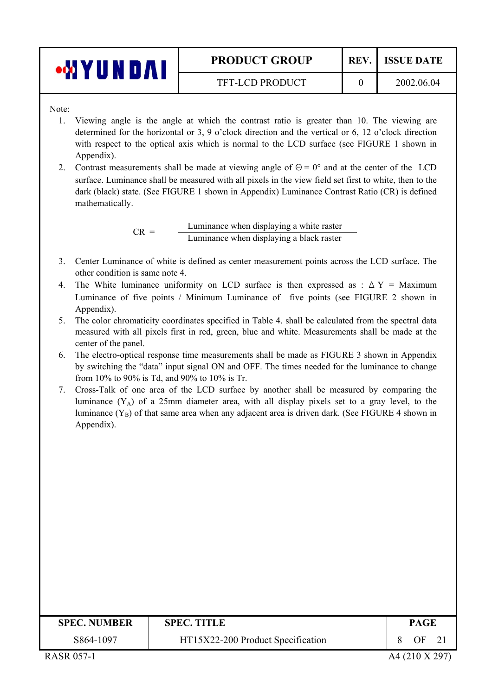| i bol<br>(UI | <b>PRODUCT GROUP</b>   | REV. | <b>ISSUE DATE</b> |
|--------------|------------------------|------|-------------------|
|              | <b>TFT-LCD PRODUCT</b> |      | 2002.06.04        |

Note:

- 1. Viewing angle is the angle at which the contrast ratio is greater than 10. The viewing are determined for the horizontal or 3, 9 o'clock direction and the vertical or 6, 12 o'clock direction with respect to the optical axis which is normal to the LCD surface (see FIGURE 1 shown in Appendix).
- 2. Contrast measurements shall be made at viewing angle of  $\Theta = 0^{\circ}$  and at the center of the LCD surface. Luminance shall be measured with all pixels in the view field set first to white, then to the dark (black) state. (See FIGURE 1 shown in Appendix) Luminance Contrast Ratio (CR) is defined mathematically.

 $CR =$  Luminance when displaying a white raster Luminance when displaying a black raster

- 3. Center Luminance of white is defined as center measurement points across the LCD surface. The other condition is same note 4.
- 4. The White luminance uniformity on LCD surface is then expressed as :  $\Delta Y =$  Maximum Luminance of five points / Minimum Luminance of five points (see FIGURE 2 shown in Appendix).
- 5. The color chromaticity coordinates specified in Table 4. shall be calculated from the spectral data measured with all pixels first in red, green, blue and white. Measurements shall be made at the center of the panel.
- 6. The electro-optical response time measurements shall be made as FIGURE 3 shown in Appendix by switching the "data" input signal ON and OFF. The times needed for the luminance to change from 10% to 90% is Td, and 90% to 10% is Tr.
- 7. Cross-Talk of one area of the LCD surface by another shall be measured by comparing the luminance  $(Y_A)$  of a 25mm diameter area, with all display pixels set to a gray level, to the luminance  $(Y_B)$  of that same area when any adjacent area is driven dark. (See FIGURE 4 shown in Appendix).

| <b>SPEC. NUMBER</b> | <b>SPEC. TITLE</b>                | <b>PAGE</b>    |
|---------------------|-----------------------------------|----------------|
| S864-1097           | HT15X22-200 Product Specification | OF             |
| <b>RASR 057-1</b>   |                                   | A4 (210 X 297) |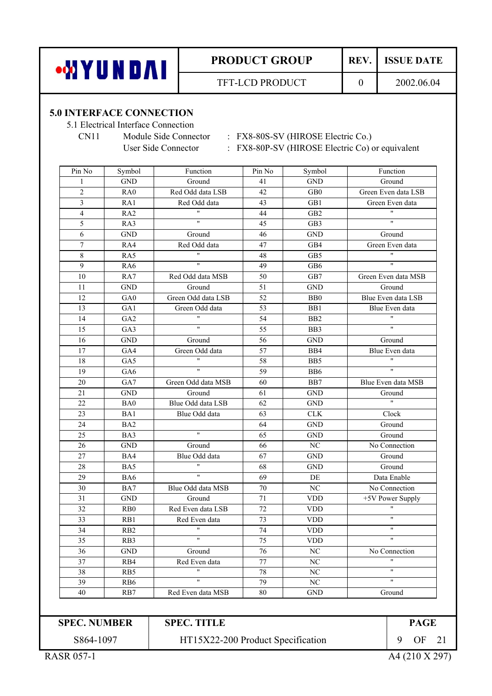

#### **5.0 INTERFACE CONNECTION**

5.1 Electrical Interface Connection

CN11 Module Side Connector : FX8-80S-SV (HIROSE Electric Co.)

User Side Connector : FX8-80P-SV (HIROSE Electric Co) or equivalent

| Pin No                  | Symbol               | Function                | Pin No | Symbol               | Function                |
|-------------------------|----------------------|-------------------------|--------|----------------------|-------------------------|
| $\mathbf{1}$            | <b>GND</b>           | Ground                  | 41     | <b>GND</b>           | Ground                  |
| $\overline{2}$          | RA0                  | Red Odd data LSB        | 42     | GB <sub>0</sub>      | Green Even data LSB     |
| $\overline{\mathbf{3}}$ | RA1                  | Red Odd data            | 43     | GB1                  | Green Even data         |
| $\overline{4}$          | RA <sub>2</sub>      | $^{\prime\prime}$       | 44     | GB <sub>2</sub>      | $\mathbf{H}$            |
| 5                       | RA3                  | $\pmb{\mathsf{H}}$      | 45     | GB3                  | $\overline{\mathbf{u}}$ |
| 6                       | <b>GND</b>           | Ground                  | 46     | <b>GND</b>           | Ground                  |
| $\tau$                  | RA4                  | Red Odd data            | 47     | GB4                  | Green Even data         |
| 8                       | RA5                  | $\pmb{\mathsf{H}}$      | 48     | GB5                  | $\mathbf{H}$            |
| 9                       | RA6                  | $\mathbf{H}$            | 49     | GB6                  | $\overline{\mathbf{u}}$ |
| 10                      | RA7                  | Red Odd data MSB        | 50     | GB7                  | Green Even data MSB     |
| 11                      | <b>GND</b>           | Ground                  | 51     | <b>GND</b>           | Ground                  |
| 12                      | GA0                  | Green Odd data LSB      | 52     | B <sub>B</sub>       | Blue Even data LSB      |
| 13                      | GA1                  | Green Odd data          | 53     | BB1                  | Blue Even data          |
| 14                      | GA <sub>2</sub>      | $\mathbf{H}$            | 54     | B <sub>B2</sub>      | $\pmb{\mathsf{H}}$      |
| 15                      | GA3                  | $\pmb{\mathsf{H}}$      | 55     | BB3                  | $\pmb{\mathsf{H}}$      |
| 16                      | <b>GND</b>           | Ground                  | 56     | <b>GND</b>           | Ground                  |
| 17                      | GA4                  | Green Odd data          | 57     | BB4                  | Blue Even data          |
| 18                      | GA5                  | $\pmb{\mathsf{H}}$      | 58     | BB5                  | $\mathbf{H}$            |
| 19                      | GA6                  | $\mathbf{H}$            | 59     | B <sub>B6</sub>      | $\overline{\mathbf{u}}$ |
| 20                      | GA7                  | Green Odd data MSB      | 60     | BB7                  | Blue Even data MSB      |
| 21                      | <b>GND</b>           | Ground                  | 61     | <b>GND</b>           | Ground                  |
| 22                      | BA0                  | Blue Odd data LSB       | 62     | <b>GND</b>           | $\overline{\mathbf{u}}$ |
| 23                      | BA1                  | Blue Odd data           | 63     | CLK                  | Clock                   |
| 24                      | BA <sub>2</sub>      |                         | 64     | <b>GND</b>           | Ground                  |
| 25                      | BA3                  | $\overline{\mathbf{u}}$ | 65     | <b>GND</b>           | Ground                  |
| 26                      | $\operatorname{GND}$ | Ground                  | 66     | $\rm NC$             | No Connection           |
| 27                      | BA4                  | Blue Odd data           | 67     | <b>GND</b>           | Ground                  |
| 28                      | BA5                  | $\pmb{\mathfrak{m}}$    | 68     | <b>GND</b>           | Ground                  |
| 29                      | BA6                  | $\pmb{\mathsf{H}}$      | 69     | DE                   | Data Enable             |
| 30                      | BA7                  | Blue Odd data MSB       | 70     | NC                   | No Connection           |
| 31                      | <b>GND</b>           | Ground                  | 71     | <b>VDD</b>           | +5V Power Supply        |
| 32                      | R <sub>B</sub> 0     | Red Even data LSB       | 72     | <b>VDD</b>           | $\pmb{\mathsf{H}}$      |
| 33                      | RB1                  | Red Even data           | 73     | <b>VDD</b>           | $^{\prime\prime}$       |
| 34                      | RB <sub>2</sub>      | $\pmb{\mathsf{H}}$      | 74     | <b>VDD</b>           | $\pmb{\mathsf{H}}$      |
| 35                      | RB3                  | $\pmb{\mathsf{H}}$      | 75     | <b>VDD</b>           | $\mathbf{H}$            |
| 36                      | $\operatorname{GND}$ | Ground                  | 76     | $\rm NC$             | No Connection           |
| 37                      | RB4                  | Red Even data           | 77     | $\rm NC$             | $^{\prime\prime}$       |
| 38                      | RB5                  | $\pmb{\mathsf{H}}$      | $78\,$ | $\rm NC$             | $\overline{\mathbf{u}}$ |
| 39                      | RB6                  | $\overline{\mathbf{u}}$ | 79     | $\rm NC$             | $\overline{\mathbf{u}}$ |
| 40                      | RB7                  | Red Even data MSB       | $80\,$ | $\operatorname{GND}$ | Ground                  |

**SPEC. NUMBER SPEC. TITLE PAGE** S864-1097

**SPEC. TITLE** 

HT15X22-200 Product Specification 9 OF 21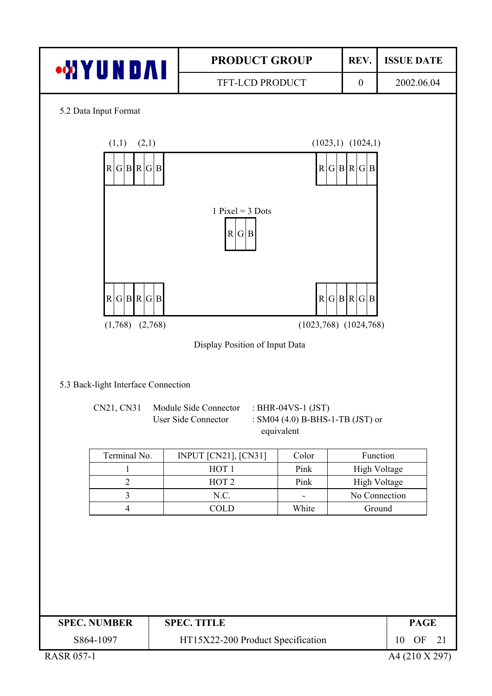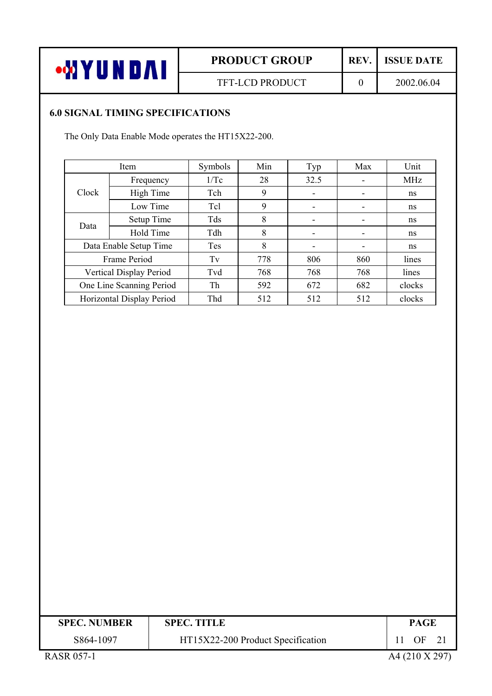

#### **6.0 SIGNAL TIMING SPECIFICATIONS**

The Only Data Enable Mode operates the HT15X22-200.

|       | Item                      | Symbols | Min | Typ  | Max | Unit       |
|-------|---------------------------|---------|-----|------|-----|------------|
|       | Frequency                 | 1/Tc    | 28  | 32.5 | ۰   | <b>MHz</b> |
| Clock | High Time                 | Tch     | 9   |      |     | ns         |
|       | Low Time                  | Tcl     | 9   |      |     | ns         |
| Data  | Setup Time                | Tds     | 8   | ۰    | ۰   | ns         |
|       | Hold Time                 | Tdh     | 8   | ۰    |     | ns         |
|       | Data Enable Setup Time    | Tes     | 8   |      |     | ns         |
|       | Frame Period              | Tv      | 778 | 806  | 860 | lines      |
|       | Vertical Display Period   | Tvd     | 768 | 768  | 768 | lines      |
|       | One Line Scanning Period  | Th      | 592 | 672  | 682 | clocks     |
|       | Horizontal Display Period | Thd     | 512 | 512  | 512 | clocks     |

| <b>SPEC. NUMBER</b> | <b>SPEC. TITLE</b>                | <b>PAGE</b>    |
|---------------------|-----------------------------------|----------------|
| S864-1097           | HT15X22-200 Product Specification | OF<br>21       |
| <b>RASR 057-1</b>   |                                   | A4 (210 X 297) |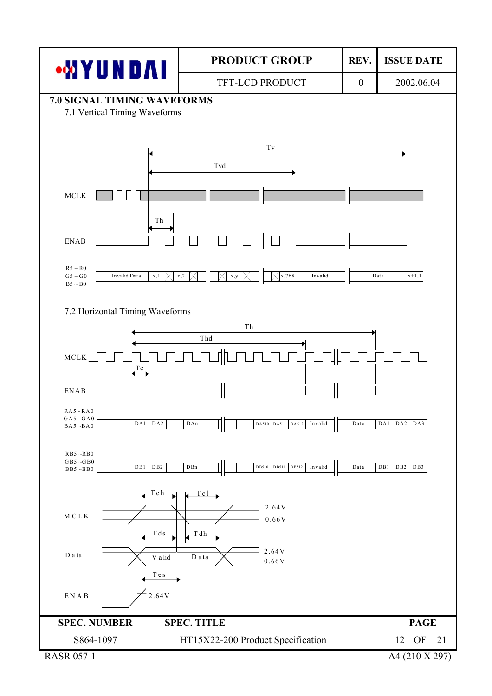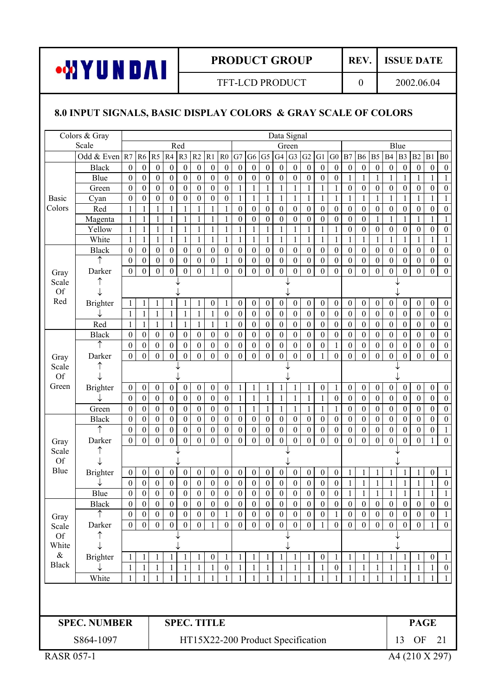

# TFT-LCD PRODUCT 0 2002.06.04

# **8.0 INPUT SIGNALS, BASIC DISPLAY COLORS & GRAY SCALE OF COLORS**

|                   | Colors & Gray         |                                      |                                  |                                      |                                      |                                      |                                      |                                      |                                  |                                      |                                      |                                      | Data Signal                      |                                      |                                   |                                      |                                      |                                      |                                  |                                    |                                      |                                      |                              |                                      |                                      |
|-------------------|-----------------------|--------------------------------------|----------------------------------|--------------------------------------|--------------------------------------|--------------------------------------|--------------------------------------|--------------------------------------|----------------------------------|--------------------------------------|--------------------------------------|--------------------------------------|----------------------------------|--------------------------------------|-----------------------------------|--------------------------------------|--------------------------------------|--------------------------------------|----------------------------------|------------------------------------|--------------------------------------|--------------------------------------|------------------------------|--------------------------------------|--------------------------------------|
|                   | Scale                 |                                      |                                  |                                      |                                      | Red                                  |                                      |                                      |                                  |                                      |                                      |                                      |                                  | Green                                |                                   |                                      |                                      |                                      |                                  |                                    |                                      | Blue                                 |                              |                                      |                                      |
|                   | Odd & Even R7         |                                      | R <sub>6</sub>                   | R <sub>5</sub>                       | R4                                   | R <sub>3</sub>                       | R <sub>2</sub>                       | R1                                   | R <sub>0</sub>                   | G7                                   | G <sub>6</sub>                       | G <sub>5</sub>                       | G4                               | G <sub>3</sub>                       | G2                                | G1                                   | ${\rm G0}$                           | B7                                   | <b>B6</b>                        | <b>B5</b>                          | <b>B4</b>                            | B <sub>3</sub>                       | B2                           | B1                                   | B <sub>0</sub>                       |
|                   | <b>Black</b>          | $\boldsymbol{0}$                     | $\boldsymbol{0}$                 | $\boldsymbol{0}$                     | $\boldsymbol{0}$                     | $\boldsymbol{0}$                     | $\boldsymbol{0}$                     | $\boldsymbol{0}$                     | $\boldsymbol{0}$                 | $\boldsymbol{0}$                     | $\boldsymbol{0}$                     | $\mathbf{0}$                         | $\boldsymbol{0}$                 | $\boldsymbol{0}$                     | $\boldsymbol{0}$                  | $\boldsymbol{0}$                     | $\boldsymbol{0}$                     | $\boldsymbol{0}$                     | $\boldsymbol{0}$                 | $\boldsymbol{0}$                   | $\boldsymbol{0}$                     | $\boldsymbol{0}$                     | $\boldsymbol{0}$             | $\boldsymbol{0}$                     | $\boldsymbol{0}$                     |
|                   | Blue                  | $\boldsymbol{0}$                     | $\boldsymbol{0}$                 | $\boldsymbol{0}$                     | $\boldsymbol{0}$                     | $\boldsymbol{0}$                     | $\boldsymbol{0}$                     | $\boldsymbol{0}$                     | $\boldsymbol{0}$                 | $\boldsymbol{0}$                     | $\boldsymbol{0}$                     | $\boldsymbol{0}$                     | $\boldsymbol{0}$                 | $\boldsymbol{0}$                     | $\boldsymbol{0}$                  | $\boldsymbol{0}$                     | $\boldsymbol{0}$                     | $\mathbf{1}$                         | $\mathbf{1}$                     | $\mathbf{1}$                       | $\mathbf{1}$                         | $\mathbf{1}$                         | $\mathbf{1}$                 | $\mathbf{1}$                         | $\mathbf{1}$                         |
|                   | Green                 | $\boldsymbol{0}$                     | $\boldsymbol{0}$                 | $\boldsymbol{0}$                     | $\boldsymbol{0}$                     | $\boldsymbol{0}$                     | $\boldsymbol{0}$                     | $\boldsymbol{0}$                     | $\boldsymbol{0}$                 | $\mathbf{1}$                         | $\mathbf{1}$                         | $\mathbf{1}$                         | $\mathbf 1$                      | $\mathbf{1}$                         | $\mathbf{1}$                      | $\mathbf{1}$                         | $\mathbf{1}$                         | $\boldsymbol{0}$                     | $\boldsymbol{0}$                 | $\boldsymbol{0}$                   | $\boldsymbol{0}$                     | $\boldsymbol{0}$                     | $\boldsymbol{0}$             | $\boldsymbol{0}$                     | $\boldsymbol{0}$                     |
| <b>Basic</b>      | Cyan                  | $\boldsymbol{0}$                     | $\boldsymbol{0}$                 | $\boldsymbol{0}$                     | $\boldsymbol{0}$                     | $\boldsymbol{0}$                     | $\boldsymbol{0}$                     | $\overline{0}$                       | $\mathbf{0}$                     | $\mathbf{1}$                         | $\mathbf{1}$                         | $\mathbf{1}$                         | $\mathbf{1}$                     | $\mathbf{1}$                         | $\mathbf{1}$                      | $\mathbf{1}$                         | $\mathbf{1}$                         | $\mathbf{1}$                         | $\mathbf{1}$                     | $\mathbf{1}$                       | $\mathbf{1}$                         | $\mathbf{1}$                         | $\mathbf{1}$                 | $\mathbf{1}$                         | $\mathbf{1}$                         |
| Colors            | Red                   | 1                                    | 1                                | $\mathbf{1}$                         | $\mathbf{1}$                         | 1                                    | $\mathbf{1}$                         | $\mathbf{1}$                         | $\mathbf{1}$                     | $\boldsymbol{0}$                     | $\boldsymbol{0}$                     | $\boldsymbol{0}$                     | $\boldsymbol{0}$                 | $\boldsymbol{0}$                     | $\boldsymbol{0}$                  | $\boldsymbol{0}$                     | $\boldsymbol{0}$                     | $\boldsymbol{0}$                     | $\boldsymbol{0}$                 | $\boldsymbol{0}$                   | $\boldsymbol{0}$                     | $\boldsymbol{0}$                     | $\boldsymbol{0}$             | $\boldsymbol{0}$                     | $\boldsymbol{0}$                     |
|                   | Magenta               | $\mathbf{1}$                         | $\mathbf{1}$                     | $\mathbf{1}$                         | $\mathbf{1}$                         | $\mathbf{1}$                         | $\mathbf{1}$                         | $\,1$                                | $\,1$                            | $\boldsymbol{0}$                     | $\boldsymbol{0}$                     | $\boldsymbol{0}$                     | $\boldsymbol{0}$                 | $\boldsymbol{0}$                     | $\boldsymbol{0}$                  | $\boldsymbol{0}$                     | $\boldsymbol{0}$                     | $\boldsymbol{0}$                     | $\boldsymbol{0}$                 | $\mathbf{1}$                       | $\mathbf{1}$                         | $\mathbf{1}$                         | $\mathbf{1}$                 | $\mathbf{1}$                         | $\mathbf{1}$                         |
|                   | Yellow                | $\mathbf{1}$                         | 1                                | $\mathbf{1}$                         | $\mathbf{1}$                         | 1                                    | $\mathbf{1}$                         | $\mathbf{1}$                         | $\mathbf{1}$                     | $\mathbf 1$                          | $\mathbf{1}$                         | $\mathbf{1}$                         | $\mathbf{1}$                     | $\mathbf{1}$                         | 1                                 | $\mathbf{1}$                         | 1                                    | $\boldsymbol{0}$                     | $\boldsymbol{0}$                 | $\boldsymbol{0}$                   | $\boldsymbol{0}$                     | $\boldsymbol{0}$                     | $\boldsymbol{0}$             | $\boldsymbol{0}$                     | $\boldsymbol{0}$                     |
|                   | White<br><b>Black</b> | 1                                    | 1                                | $\mathbf{1}$                         | $\mathbf{1}$                         | 1                                    | $\mathbf{1}$                         | $\mathbf{1}$                         | $\mathbf{1}$                     | $\mathbf{1}$                         | $\mathbf{1}$                         | 1                                    | $\mathbf{1}$                     | $\mathbf{1}$                         | $\mathbf{1}$                      | $\mathbf{1}$                         | $\mathbf{1}$                         | $\mathbf{1}$                         | $\mathbf{1}$<br>$\boldsymbol{0}$ | 1<br>$\boldsymbol{0}$              | $\mathbf{1}$                         | 1                                    | $\mathbf{1}$                 | 1                                    | $\mathbf{1}$<br>$\boldsymbol{0}$     |
|                   | ↑                     | $\boldsymbol{0}$<br>$\boldsymbol{0}$ | $\theta$                         | $\boldsymbol{0}$<br>$\boldsymbol{0}$ | $\boldsymbol{0}$<br>$\boldsymbol{0}$ | $\boldsymbol{0}$<br>$\boldsymbol{0}$ | $\boldsymbol{0}$                     | $\boldsymbol{0}$<br>$\boldsymbol{0}$ | $\boldsymbol{0}$                 | $\boldsymbol{0}$<br>$\boldsymbol{0}$ | $\boldsymbol{0}$                     | $\boldsymbol{0}$<br>$\boldsymbol{0}$ | $\boldsymbol{0}$                 | $\boldsymbol{0}$                     | $\boldsymbol{0}$                  | $\boldsymbol{0}$                     | $\boldsymbol{0}$                     | $\boldsymbol{0}$<br>$\boldsymbol{0}$ | $\boldsymbol{0}$                 |                                    | $\boldsymbol{0}$<br>$\boldsymbol{0}$ | 0                                    | $\boldsymbol{0}$             | $\boldsymbol{0}$                     | $\boldsymbol{0}$                     |
|                   | Darker                | $\boldsymbol{0}$                     | $\boldsymbol{0}$<br>$\mathbf{0}$ | $\boldsymbol{0}$                     | $\overline{0}$                       | $\boldsymbol{0}$                     | $\boldsymbol{0}$<br>$\boldsymbol{0}$ | $\mathbf{1}$                         | $\mathbf{1}$<br>$\mathbf{0}$     | $\overline{0}$                       | $\boldsymbol{0}$<br>$\boldsymbol{0}$ | $\overline{0}$                       | $\boldsymbol{0}$<br>$\mathbf{0}$ | $\boldsymbol{0}$<br>$\boldsymbol{0}$ | 0<br>$\theta$                     | $\boldsymbol{0}$<br>$\boldsymbol{0}$ | $\boldsymbol{0}$<br>$\boldsymbol{0}$ | $\overline{0}$                       | $\mathbf{0}$                     | $\boldsymbol{0}$<br>$\overline{0}$ | $\boldsymbol{0}$                     | $\boldsymbol{0}$<br>$\boldsymbol{0}$ | $\boldsymbol{0}$<br>$\theta$ | $\boldsymbol{0}$<br>$\boldsymbol{0}$ | $\mathbf{0}$                         |
| Gray              |                       |                                      |                                  |                                      |                                      |                                      |                                      |                                      |                                  |                                      |                                      |                                      |                                  |                                      |                                   |                                      |                                      |                                      |                                  |                                    |                                      |                                      |                              |                                      |                                      |
| Scale<br>Of       |                       |                                      |                                  |                                      |                                      |                                      |                                      |                                      |                                  |                                      |                                      |                                      |                                  |                                      |                                   |                                      |                                      |                                      |                                  |                                    |                                      |                                      |                              |                                      |                                      |
| Red               | <b>Brighter</b>       |                                      |                                  |                                      |                                      |                                      |                                      |                                      |                                  | $\boldsymbol{0}$                     | $\boldsymbol{0}$                     | $\boldsymbol{0}$                     | $\boldsymbol{0}$                 | $\boldsymbol{0}$                     | $\boldsymbol{0}$                  | $\boldsymbol{0}$                     | $\boldsymbol{0}$                     | $\boldsymbol{0}$                     | $\boldsymbol{0}$                 | $\boldsymbol{0}$                   | $\boldsymbol{0}$                     | $\boldsymbol{0}$                     | $\boldsymbol{0}$             | $\boldsymbol{0}$                     |                                      |
|                   |                       | 1<br>$\mathbf{1}$                    | 1<br>$\mathbf{1}$                | 1<br>$\mathbf{1}$                    | 1<br>$\mathbf{1}$                    | 1<br>$\mathbf{1}$                    | $\mathbf{1}$<br>$\,1\,$              | $\boldsymbol{0}$<br>$\mathbf{1}$     | $\mathbf{1}$<br>$\boldsymbol{0}$ | $\boldsymbol{0}$                     | $\boldsymbol{0}$                     | $\boldsymbol{0}$                     | $\boldsymbol{0}$                 | $\boldsymbol{0}$                     | $\boldsymbol{0}$                  | $\boldsymbol{0}$                     | $\boldsymbol{0}$                     | $\boldsymbol{0}$                     | $\boldsymbol{0}$                 | $\boldsymbol{0}$                   | $\boldsymbol{0}$                     | $\boldsymbol{0}$                     | $\boldsymbol{0}$             | $\boldsymbol{0}$                     | $\boldsymbol{0}$<br>$\boldsymbol{0}$ |
|                   | Red                   | $\mathbf{1}$                         | $\mathbf{1}$                     | $\mathbf{1}$                         | $\mathbf{1}$                         | $\mathbf{1}$                         | $\mathbf{1}$                         | $\mathbf{1}$                         | $\mathbf{1}$                     | $\boldsymbol{0}$                     | $\boldsymbol{0}$                     | $\boldsymbol{0}$                     | $\boldsymbol{0}$                 | $\boldsymbol{0}$                     | $\boldsymbol{0}$                  | $\boldsymbol{0}$                     | $\boldsymbol{0}$                     | $\boldsymbol{0}$                     | $\boldsymbol{0}$                 | $\boldsymbol{0}$                   | $\boldsymbol{0}$                     | $\boldsymbol{0}$                     | $\boldsymbol{0}$             | $\boldsymbol{0}$                     | $\boldsymbol{0}$                     |
|                   | <b>Black</b>          | $\boldsymbol{0}$                     | $\boldsymbol{0}$                 | $\boldsymbol{0}$                     | $\boldsymbol{0}$                     | $\boldsymbol{0}$                     | $\boldsymbol{0}$                     | $\boldsymbol{0}$                     | $\boldsymbol{0}$                 | $\boldsymbol{0}$                     | $\boldsymbol{0}$                     | $\boldsymbol{0}$                     | $\boldsymbol{0}$                 | $\boldsymbol{0}$                     | $\boldsymbol{0}$                  | $\boldsymbol{0}$                     | 0                                    | 0                                    | $\boldsymbol{0}$                 | $\boldsymbol{0}$                   | $\boldsymbol{0}$                     | 0                                    | $\boldsymbol{0}$             | $\boldsymbol{0}$                     | $\boldsymbol{0}$                     |
|                   | ↑                     | $\boldsymbol{0}$                     | $\boldsymbol{0}$                 | $\boldsymbol{0}$                     | $\boldsymbol{0}$                     | $\boldsymbol{0}$                     | $\boldsymbol{0}$                     | $\boldsymbol{0}$                     | $\boldsymbol{0}$                 | $\boldsymbol{0}$                     | $\boldsymbol{0}$                     | $\boldsymbol{0}$                     | $\boldsymbol{0}$                 | $\boldsymbol{0}$                     | 0                                 | $\boldsymbol{0}$                     | $\mathbf{1}$                         | $\boldsymbol{0}$                     | $\boldsymbol{0}$                 | $\boldsymbol{0}$                   | $\boldsymbol{0}$                     | $\boldsymbol{0}$                     | $\boldsymbol{0}$             | $\boldsymbol{0}$                     | $\boldsymbol{0}$                     |
|                   | Darker                | $\mathbf{0}$                         | $\boldsymbol{0}$                 | $\boldsymbol{0}$                     | $\overline{0}$                       | $\overline{0}$                       | $\boldsymbol{0}$                     | $\overline{0}$                       | $\mathbf{0}$                     | $\overline{0}$                       | $\boldsymbol{0}$                     | $\overline{0}$                       | $\mathbf{0}$                     | $\mathbf{0}$                         | $\boldsymbol{0}$                  | $\mathbf{1}$                         | $\overline{0}$                       | $\overline{0}$                       | $\mathbf{0}$                     | $\overline{0}$                     | $\boldsymbol{0}$                     | $\theta$                             | $\boldsymbol{0}$             | $\boldsymbol{0}$                     | $\overline{0}$                       |
| Gray<br>Scale     |                       |                                      |                                  |                                      |                                      |                                      |                                      |                                      |                                  |                                      |                                      |                                      |                                  |                                      |                                   |                                      |                                      |                                      |                                  |                                    |                                      |                                      |                              |                                      |                                      |
| Of                | ↓                     |                                      |                                  |                                      |                                      |                                      |                                      |                                      |                                  |                                      |                                      |                                      |                                  |                                      |                                   |                                      |                                      |                                      |                                  |                                    |                                      |                                      |                              |                                      |                                      |
| Green             | <b>Brighter</b>       | $\boldsymbol{0}$                     | $\boldsymbol{0}$                 | $\boldsymbol{0}$                     | $\boldsymbol{0}$                     | $\boldsymbol{0}$                     | $\boldsymbol{0}$                     | $\boldsymbol{0}$                     | $\boldsymbol{0}$                 | $\,1$                                | $\mathbf{1}$                         | 1                                    | $\mathbf{1}$                     | 1                                    | $\mathbf{1}$                      | $\boldsymbol{0}$                     | $\mathbf{1}$                         | $\boldsymbol{0}$                     | $\boldsymbol{0}$                 | $\boldsymbol{0}$                   | $\boldsymbol{0}$                     | $\boldsymbol{0}$                     | $\boldsymbol{0}$             | $\boldsymbol{0}$                     | $\boldsymbol{0}$                     |
|                   |                       | $\boldsymbol{0}$                     | $\boldsymbol{0}$                 | 0                                    | $\boldsymbol{0}$                     | $\boldsymbol{0}$                     | $\boldsymbol{0}$                     | $\boldsymbol{0}$                     | $\boldsymbol{0}$                 | $\mathbf{1}$                         | $\mathbf{1}$                         | $\mathbf{1}$                         | $\mathbf{1}$                     | 1                                    | $\mathbf{1}$                      | $\mathbf{1}$                         | $\boldsymbol{0}$                     | $\boldsymbol{0}$                     | $\boldsymbol{0}$                 | $\boldsymbol{0}$                   | $\boldsymbol{0}$                     | $\boldsymbol{0}$                     | $\boldsymbol{0}$             | $\boldsymbol{0}$                     | $\boldsymbol{0}$                     |
|                   | Green                 | $\boldsymbol{0}$                     | $\boldsymbol{0}$                 | $\boldsymbol{0}$                     | $\boldsymbol{0}$                     | $\boldsymbol{0}$                     | $\boldsymbol{0}$                     | $\boldsymbol{0}$                     | $\boldsymbol{0}$                 | $\mathbf{1}$                         | $\mathbf{1}$                         | $\mathbf{1}$                         | $\mathbf{1}$                     | $\mathbf{1}$                         | $\mathbf{1}$                      | 1                                    | 1                                    | 0                                    | $\boldsymbol{0}$                 | $\boldsymbol{0}$                   | $\boldsymbol{0}$                     | $\boldsymbol{0}$                     | $\boldsymbol{0}$             | $\boldsymbol{0}$                     | $\boldsymbol{0}$                     |
|                   | <b>Black</b>          | $\boldsymbol{0}$                     | $\boldsymbol{0}$                 | $\boldsymbol{0}$                     | $\boldsymbol{0}$                     | $\boldsymbol{0}$                     | $\boldsymbol{0}$                     | $\boldsymbol{0}$                     | $\boldsymbol{0}$                 | $\boldsymbol{0}$                     | $\boldsymbol{0}$                     | $\boldsymbol{0}$                     | $\theta$                         | $\boldsymbol{0}$                     | $\boldsymbol{0}$                  | $\boldsymbol{0}$                     | $\theta$                             | 0                                    | $\boldsymbol{0}$                 | $\boldsymbol{0}$                   | $\boldsymbol{0}$                     | 0                                    | $\theta$                     | $\boldsymbol{0}$                     | $\boldsymbol{0}$                     |
|                   | ↑                     | $\boldsymbol{0}$                     | $\boldsymbol{0}$                 | $\boldsymbol{0}$                     | $\boldsymbol{0}$                     | $\boldsymbol{0}$                     | $\boldsymbol{0}$                     | $\boldsymbol{0}$                     | $\boldsymbol{0}$                 | $\boldsymbol{0}$                     | $\boldsymbol{0}$                     | $\boldsymbol{0}$                     | $\boldsymbol{0}$                 | $\boldsymbol{0}$                     | $\boldsymbol{0}$                  | $\boldsymbol{0}$                     | 0                                    | $\boldsymbol{0}$                     | $\boldsymbol{0}$                 | $\boldsymbol{0}$                   | $\boldsymbol{0}$                     | 0                                    | $\boldsymbol{0}$             | $\boldsymbol{0}$                     | $\mathbf{1}$                         |
| Gray              | Darker                | $\mathbf{0}$                         | $\overline{0}$                   | $\boldsymbol{0}$                     | $\overline{0}$                       | $\mathbf{0}$                         | $\overline{0}$                       | $\overline{0}$                       | $\mathbf{0}$                     | $\overline{0}$                       | $\mathbf{0}$                         | $\overline{0}$                       | $\overline{0}$                   | $\theta$                             | $\theta$                          | $\theta$                             | $\theta$                             | $\boldsymbol{0}$                     | $\mathbf{0}$                     | $\overline{0}$                     | $\overline{0}$                       | $\theta$                             | $\overline{0}$               | $\mathbf{1}$                         | $\overline{0}$                       |
| Scale             |                       |                                      |                                  |                                      |                                      |                                      |                                      |                                      |                                  |                                      |                                      |                                      |                                  |                                      |                                   |                                      |                                      |                                      |                                  |                                    |                                      |                                      |                              |                                      |                                      |
| Of                |                       |                                      |                                  |                                      |                                      |                                      |                                      |                                      |                                  |                                      |                                      |                                      |                                  |                                      |                                   |                                      |                                      |                                      |                                  |                                    |                                      |                                      |                              |                                      |                                      |
| Blue              | <b>Brighter</b>       | $\boldsymbol{0}$                     | $\boldsymbol{0}$                 | $\boldsymbol{0}$                     | $\boldsymbol{0}$                     | 0                                    | $\boldsymbol{0}$                     | $\boldsymbol{0}$                     | $\boldsymbol{0}$                 | $\boldsymbol{0}$                     | $\boldsymbol{0}$                     | $\boldsymbol{0}$                     | $\boldsymbol{0}$                 | 0                                    | $\boldsymbol{0}$                  | $\boldsymbol{0}$                     | $\boldsymbol{0}$                     | $\mathbf{1}$                         | $\mathbf{1}$                     | 1                                  | 1                                    | 1                                    | $\mathbf{1}$                 | $\boldsymbol{0}$                     | $\mathbf{1}$                         |
|                   |                       | $\boldsymbol{0}$                     | 0                                | 0                                    | 0                                    | $\boldsymbol{0}$                     | $\boldsymbol{0}$                     | $\boldsymbol{0}$                     | $\boldsymbol{0}$                 | $\boldsymbol{0}$                     | $\boldsymbol{0}$                     | 0                                    | $\boldsymbol{0}$                 | 0                                    | $\boldsymbol{0}$                  | $\boldsymbol{0}$                     | $\boldsymbol{0}$                     | $\mathbf{1}$                         | $\mathbf{1}$                     | 1                                  | $\mathbf{1}$                         | 1                                    | 1                            | 1                                    | $\boldsymbol{0}$                     |
|                   | Blue                  | $\boldsymbol{0}$                     | $\theta$                         | $\boldsymbol{0}$                     | $\boldsymbol{0}$                     | $\boldsymbol{0}$                     | $\mathbf{0}$                         | $\boldsymbol{0}$                     | $\boldsymbol{0}$                 | 0                                    | $\boldsymbol{0}$                     | $\boldsymbol{0}$                     | $\boldsymbol{0}$                 | $\boldsymbol{0}$                     | $\boldsymbol{0}$                  | $\boldsymbol{0}$                     | $\boldsymbol{0}$                     | $\mathbf{1}$                         | $\mathbf{1}$                     | $\mathbf{1}$                       | $\mathbf{1}$                         | 1                                    | $\mathbf{1}$                 | 1                                    | $\mathbf{1}$                         |
|                   | <b>Black</b>          | $\boldsymbol{0}$                     | $\mathbf{0}$                     | $\boldsymbol{0}$                     | $\boldsymbol{0}$                     | $\boldsymbol{0}$                     | $\boldsymbol{0}$                     | $\boldsymbol{0}$                     | $\boldsymbol{0}$                 | $\boldsymbol{0}$                     | $\overline{0}$                       | $\boldsymbol{0}$                     | $\boldsymbol{0}$                 | $\mathbf{0}$                         | $\mathbf{0}$                      | $\mathbf{0}$                         | $\mathbf{0}$                         | $\mathbf{0}$                         | $\mathbf{0}$                     | $\mathbf{0}$                       | $\boldsymbol{0}$                     | $\boldsymbol{0}$                     | $\mathbf{0}$                 | $\boldsymbol{0}$                     | $\bf{0}$                             |
| Gray              |                       | $\boldsymbol{0}$                     | $\overline{0}$                   | $\boldsymbol{0}$                     | $\boldsymbol{0}$                     | $\boldsymbol{0}$                     | $\boldsymbol{0}$                     | $\boldsymbol{0}$                     | $\mathbf{1}$                     | $\boldsymbol{0}$                     | $\boldsymbol{0}$                     | $\boldsymbol{0}$                     | $\boldsymbol{0}$                 | $0\,$                                | $\boldsymbol{0}$                  | $\mathbf{0}$                         | $\mathbf{1}$                         | $0\,$                                | $\boldsymbol{0}$                 | $\mathbf{0}$                       | $\boldsymbol{0}$                     | $\mathbf{0}$                         | $\boldsymbol{0}$             | $\boldsymbol{0}$                     | $\mathbf{1}$                         |
| Scale             | Darker                | $\boldsymbol{0}$                     | $\overline{0}$                   | $\mathbf{0}$                         | $\overline{0}$                       | $\boldsymbol{0}$                     | $\mathbf{0}$                         | $\mathbf{1}$                         | $\mathbf{0}$                     | $\boldsymbol{0}$                     | $\overline{0}$                       | $\mathbf{0}$                         | $\overline{0}$                   | $\mathbf{0}$                         | $\overline{0}$                    | $\mathbf{1}$                         | $\mathbf{0}$                         | $\overline{0}$                       | $\mathbf{0}$                     | $\overline{0}$                     | $\mathbf{0}$                         | $\boldsymbol{0}$                     | $\mathbf{0}$                 | $\mathbf{1}$                         | $\mathbf{0}$                         |
| <b>Of</b>         |                       |                                      |                                  |                                      |                                      |                                      |                                      |                                      |                                  |                                      |                                      |                                      |                                  |                                      |                                   |                                      |                                      |                                      |                                  |                                    |                                      |                                      |                              |                                      |                                      |
| White             |                       |                                      |                                  |                                      |                                      |                                      |                                      |                                      |                                  |                                      |                                      |                                      |                                  |                                      |                                   |                                      |                                      |                                      |                                  |                                    |                                      |                                      |                              |                                      |                                      |
| $\&$              | Brighter              |                                      | 1                                | 1                                    |                                      |                                      | $\mathbf{1}$                         | $\boldsymbol{0}$                     | $\mathbf{1}$                     | $\mathbf{1}$                         | $\mathbf{1}$                         | 1                                    | 1                                | 1                                    | 1                                 | $\boldsymbol{0}$                     | $\mathbf{1}$                         | 1                                    | $\mathbf{1}$                     | 1                                  | 1                                    | 1                                    | 1                            | $\boldsymbol{0}$                     | 1                                    |
| <b>Black</b>      |                       | 1                                    | 1                                | 1                                    | 1                                    | 1                                    | 1                                    | $\mathbf{1}$                         | $\boldsymbol{0}$                 | $\mathbf{1}$                         | 1                                    | $\mathbf{1}$                         | 1                                | 1                                    | 1                                 | 1                                    | $\boldsymbol{0}$                     | $\mathbf{1}$                         | $\mathbf{1}$                     | $\mathbf{1}$                       | $\mathbf{1}$                         | $\mathbf{1}$                         | $\mathbf{1}$                 | $\mathbf{1}$                         | $\boldsymbol{0}$                     |
|                   | White                 | $\mathbf{1}$                         | 1                                | $\mathbf{1}$                         | 1                                    | $\mathbf{1}$                         | 1                                    | $\mathbf{1}$                         | 1                                | $\mathbf{1}$                         | 1                                    | $\mathbf{1}$                         | 1                                | $\mathbf{1}$                         | 1                                 | $\mathbf{1}$                         | 1                                    | $\mathbf{1}$                         | 1                                | $\mathbf{1}$                       | $\mathbf{1}$                         | $\mathbf{1}$                         | $\mathbf{1}$                 | $\mathbf{1}$                         | $\mathbf{1}$                         |
|                   |                       |                                      |                                  |                                      |                                      |                                      |                                      |                                      |                                  |                                      |                                      |                                      |                                  |                                      |                                   |                                      |                                      |                                      |                                  |                                    |                                      |                                      |                              |                                      |                                      |
|                   |                       |                                      |                                  |                                      |                                      |                                      |                                      |                                      |                                  |                                      |                                      |                                      |                                  |                                      |                                   |                                      |                                      |                                      |                                  |                                    |                                      |                                      |                              |                                      |                                      |
|                   | <b>SPEC. NUMBER</b>   |                                      |                                  |                                      | <b>SPEC. TITLE</b>                   |                                      |                                      |                                      |                                  |                                      |                                      |                                      |                                  |                                      | <b>PAGE</b>                       |                                      |                                      |                                      |                                  |                                    |                                      |                                      |                              |                                      |                                      |
|                   | S864-1097             |                                      |                                  |                                      |                                      |                                      |                                      |                                      |                                  |                                      |                                      |                                      |                                  |                                      | HT15X22-200 Product Specification |                                      |                                      |                                      |                                  |                                    |                                      | 13                                   | <b>OF</b>                    |                                      | 21                                   |
| <b>RASR 057-1</b> |                       |                                      |                                  |                                      |                                      |                                      |                                      |                                      | A4 (210 X 297)                   |                                      |                                      |                                      |                                  |                                      |                                   |                                      |                                      |                                      |                                  |                                    |                                      |                                      |                              |                                      |                                      |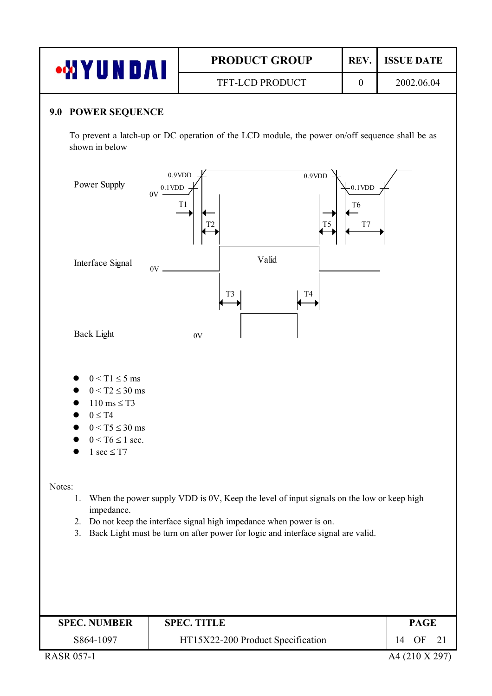| ow Y           | <b>PRODUCT GROUP</b>   | <b>REV</b> | <b>ISSUE DATE</b> |
|----------------|------------------------|------------|-------------------|
| <b>ARTISTS</b> | <b>TFT-LCD PRODUCT</b> |            | 2002.06.04        |

#### **9.0 POWER SEQUENCE**

To prevent a latch-up or DC operation of the LCD module, the power on/off sequence shall be as shown in below



- $0 < T2 \leq 30$  ms
- $110 \text{ ms} \leq T3$
- $\bullet$  0  $\leq$  T4
- $0 < T5 \leq 30$  ms
- $\bullet$  0 < T6  $\leq$  1 sec.
- 1 sec  $\leq$  T7

Notes:

- 1. When the power supply VDD is 0V, Keep the level of input signals on the low or keep high impedance.
- 2. Do not keep the interface signal high impedance when power is on.
- 3. Back Light must be turn on after power for logic and interface signal are valid.

| <b>SPEC. NUMBER</b> | <b>SPEC. TITLE</b>                |    | <b>PAGE</b>    |  |
|---------------------|-----------------------------------|----|----------------|--|
| S864-1097           | HT15X22-200 Product Specification | 14 | OF 21          |  |
| <b>RASR 057-1</b>   |                                   |    | A4 (210 X 297) |  |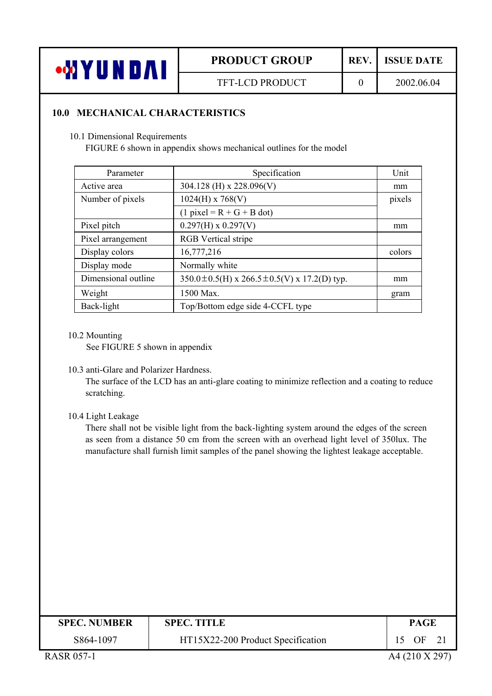

#### **10.0 MECHANICAL CHARACTERISTICS**

#### 10.1 Dimensional Requirements

FIGURE 6 shown in appendix shows mechanical outlines for the model

| Parameter           | Specification                                           | Unit   |
|---------------------|---------------------------------------------------------|--------|
| Active area         | 304.128 (H) x 228.096(V)                                | mm     |
| Number of pixels    | $1024(H)$ x 768(V)                                      | pixels |
|                     | $(1$ pixel = R + G + B dot)                             |        |
| Pixel pitch         | $0.297(H) \times 0.297(V)$                              | mm     |
| Pixel arrangement   | <b>RGB</b> Vertical stripe                              |        |
| Display colors      | 16,777,216                                              | colors |
| Display mode        | Normally white                                          |        |
| Dimensional outline | $350.0 \pm 0.5$ (H) x 266.5 $\pm$ 0.5(V) x 17.2(D) typ. | mm     |
| Weight              | 1500 Max.                                               | gram   |
| Back-light          | Top/Bottom edge side 4-CCFL type                        |        |

#### 10.2 Mounting

See FIGURE 5 shown in appendix

#### 10.3 anti-Glare and Polarizer Hardness.

The surface of the LCD has an anti-glare coating to minimize reflection and a coating to reduce scratching.

#### 10.4 Light Leakage

There shall not be visible light from the back-lighting system around the edges of the screen as seen from a distance 50 cm from the screen with an overhead light level of 350lux. The manufacture shall furnish limit samples of the panel showing the lightest leakage acceptable.

| <b>SPEC. NUMBER</b> | <b>SPEC. TITLE</b>                | PAGE           |
|---------------------|-----------------------------------|----------------|
| S864-1097           | HT15X22-200 Product Specification | 15 OF 21       |
| <b>RASR 057-1</b>   |                                   | A4 (210 X 297) |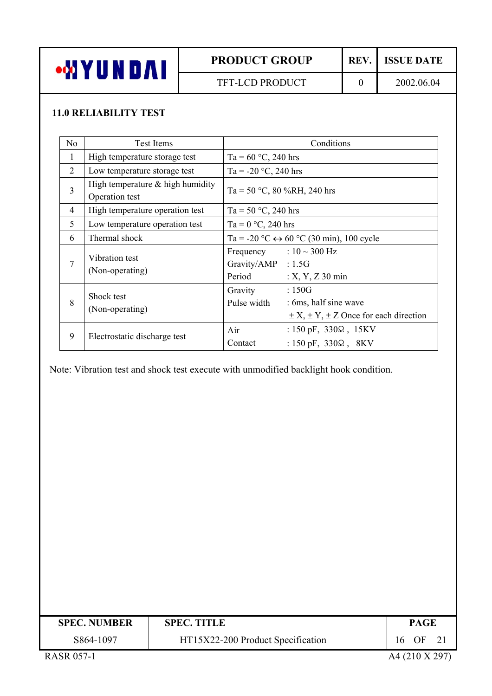

# **11.0 RELIABILITY TEST**

| N <sub>0</sub> | <b>Test Items</b>                                  | Conditions                                                                                                             |
|----------------|----------------------------------------------------|------------------------------------------------------------------------------------------------------------------------|
| 1              | High temperature storage test                      | Ta = $60 °C$ , 240 hrs                                                                                                 |
| $\overline{2}$ | Low temperature storage test                       | Ta = -20 °C, 240 hrs                                                                                                   |
| 3              | High temperature & high humidity<br>Operation test | Ta = 50 °C, 80 %RH, 240 hrs                                                                                            |
| $\overline{4}$ | High temperature operation test                    | Ta = 50 $\degree$ C, 240 hrs                                                                                           |
| 5              | Low temperature operation test                     | Ta = $0 °C$ , 240 hrs                                                                                                  |
| 6              | Thermal shock                                      | Ta = -20 °C $\leftrightarrow$ 60 °C (30 min), 100 cycle                                                                |
| 7              | Vibration test<br>(Non-operating)                  | Frequency : $10 \sim 300 \text{ Hz}$<br>Gravity/AMP : 1.5G<br>Period<br>$: X, Y, Z$ 30 min                             |
| 8              | Shock test<br>(Non-operating)                      | :150G<br>Gravity<br>Pulse width<br>: 6ms, half sine wave<br>$\pm X$ , $\pm Y$ , $\pm Z$ Once for each direction        |
| 9              | Electrostatic discharge test                       | : $150 \text{ pF}$ , $330\Omega$ , $15 \text{KV}$<br>Air<br>Contact<br>: $150 \text{ pF}$ , $330\Omega$ , $8\text{KV}$ |

Note: Vibration test and shock test execute with unmodified backlight hook condition.

| <b>SPEC. NUMBER</b> | <b>SPEC. TITLE</b>                | <b>PAGE</b>    |
|---------------------|-----------------------------------|----------------|
| S864-1097           | HT15X22-200 Product Specification | 16 OF<br>21    |
| <b>RASR 057-1</b>   |                                   | A4 (210 X 297) |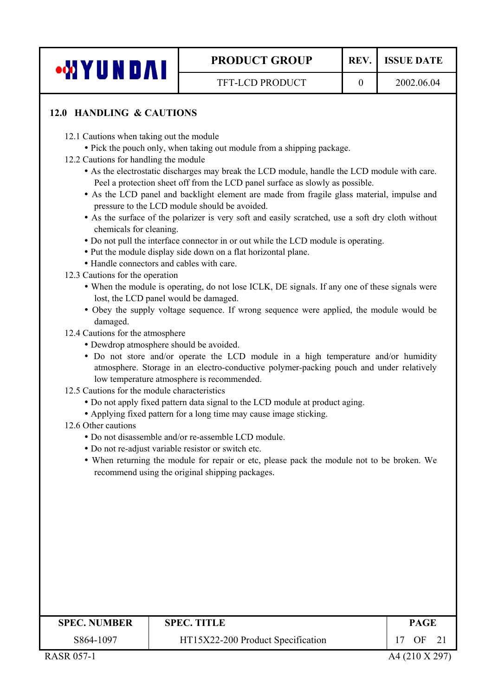

# **12.0 HANDLING & CAUTIONS**

- 12.1 Cautions when taking out the module
	- Pick the pouch only, when taking out module from a shipping package.
- 12.2 Cautions for handling the module
	- As the electrostatic discharges may break the LCD module, handle the LCD module with care. Peel a protection sheet off from the LCD panel surface as slowly as possible.
	- As the LCD panel and backlight element are made from fragile glass material, impulse and pressure to the LCD module should be avoided.
	- As the surface of the polarizer is very soft and easily scratched, use a soft dry cloth without chemicals for cleaning.
	- Do not pull the interface connector in or out while the LCD module is operating.
	- Put the module display side down on a flat horizontal plane.
	- Handle connectors and cables with care.
- 12.3 Cautions for the operation
	- When the module is operating, do not lose ICLK, DE signals. If any one of these signals were lost, the LCD panel would be damaged.
	- Obey the supply voltage sequence. If wrong sequence were applied, the module would be damaged.
- 12.4 Cautions for the atmosphere
	- Dewdrop atmosphere should be avoided.
	- Do not store and/or operate the LCD module in a high temperature and/or humidity atmosphere. Storage in an electro-conductive polymer-packing pouch and under relatively low temperature atmosphere is recommended.
- 12.5 Cautions for the module characteristics
	- Do not apply fixed pattern data signal to the LCD module at product aging.
	- Applying fixed pattern for a long time may cause image sticking.
- 12.6 Other cautions
	- y Do not disassemble and/or re-assemble LCD module.
	- Do not re-adjust variable resistor or switch etc.
	- When returning the module for repair or etc, please pack the module not to be broken. We recommend using the original shipping packages.

| <b>SPEC. NUMBER</b> | <b>SPEC. TITLE</b>                | <b>PAGE</b>    |
|---------------------|-----------------------------------|----------------|
| S864-1097           | HT15X22-200 Product Specification | OF<br>21       |
| <b>RASR 057-1</b>   |                                   | A4 (210 X 297) |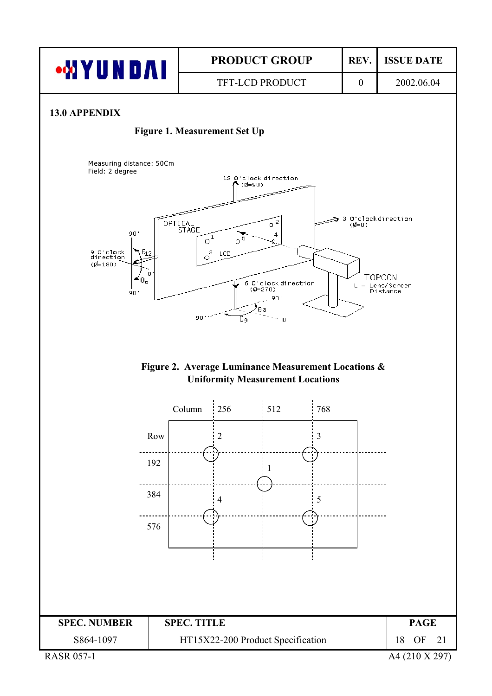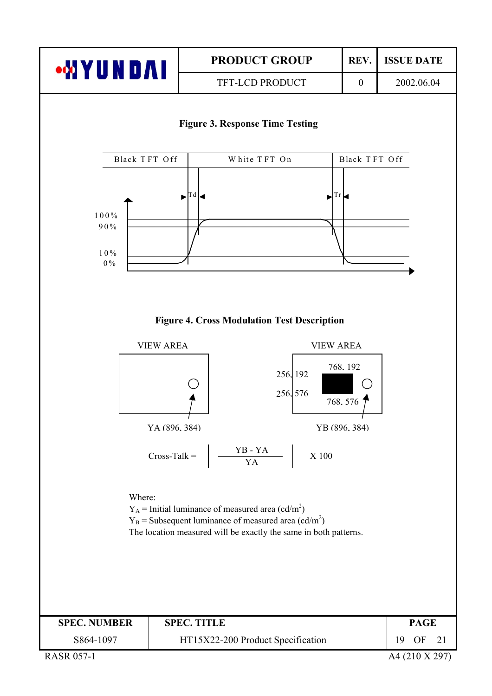

#### **Figure 3. Response Time Testing**



#### **Figure 4. Cross Modulation Test Description**

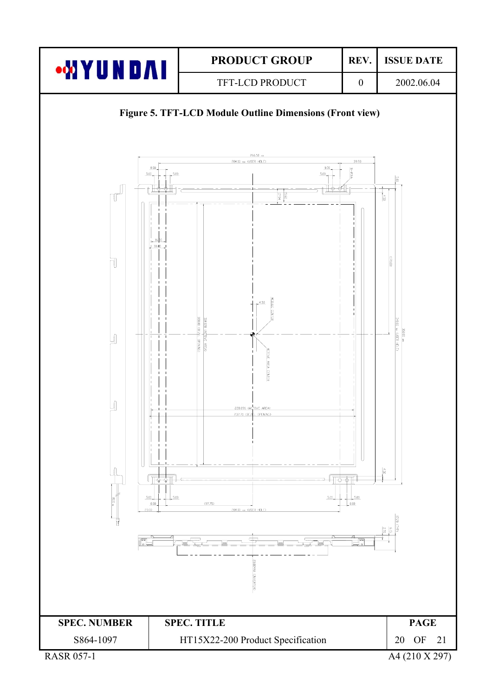